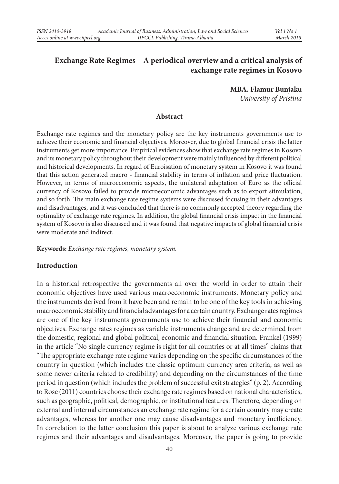# **Exchange Rate Regimes – A periodical overview and a critical analysis of exchange rate regimes in Kosovo**

**MBA. Flamur Bunjaku** *University of Pristina*

#### **Abstract**

Exchange rate regimes and the monetary policy are the key instruments governments use to achieve their economic and financial objectives. Moreover, due to global financial crisis the latter instruments get more importance. Empirical evidences show that exchange rate regimes in Kosovo and its monetary policy throughout their development were mainly influenced by different political and historical developments. In regard of Euroisation of monetary system in Kosovo it was found that this action generated macro - financial stability in terms of inflation and price fluctuation. However, in terms of microeconomic aspects, the unilateral adaptation of Euro as the official currency of Kosovo failed to provide microeconomic advantages such as to export stimulation, and so forth. The main exchange rate regime systems were discussed focusing in their advantages and disadvantages, and it was concluded that there is no commonly accepted theory regarding the optimality of exchange rate regimes. In addition, the global financial crisis impact in the financial system of Kosovo is also discussed and it was found that negative impacts of global financial crisis were moderate and indirect.

**Keywords:** *Exchange rate regimes, monetary system.*

#### **Introduction**

In a historical retrospective the governments all over the world in order to attain their economic objectives have used various macroeconomic instruments. Monetary policy and the instruments derived from it have been and remain to be one of the key tools in achieving macroeconomic stability and financial advantages for a certain country. Exchange rates regimes are one of the key instruments governments use to achieve their financial and economic objectives. Exchange rates regimes as variable instruments change and are determined from the domestic, regional and global political, economic and financial situation. Frankel (1999) in the article "No single currency regime is right for all countries or at all times" claims that "The appropriate exchange rate regime varies depending on the specific circumstances of the country in question (which includes the classic optimum currency area criteria, as well as some newer criteria related to credibility) and depending on the circumstances of the time period in question (which includes the problem of successful exit strategies" (p. 2). According to Rose (2011) countries choose their exchange rate regimes based on national characteristics, such as geographic, political, demographic, or institutional features. Therefore, depending on external and internal circumstances an exchange rate regime for a certain country may create advantages, whereas for another one may cause disadvantages and monetary inefficiency. In correlation to the latter conclusion this paper is about to analyze various exchange rate regimes and their advantages and disadvantages. Moreover, the paper is going to provide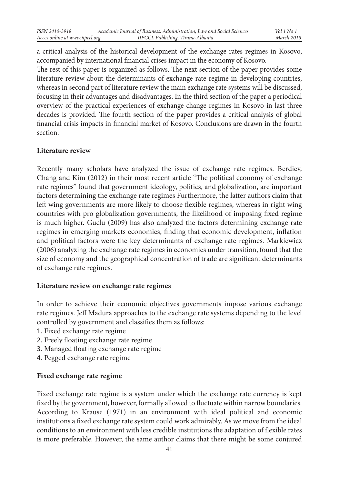a critical analysis of the historical development of the exchange rates regimes in Kosovo, accompanied by international financial crises impact in the economy of Kosovo.

The rest of this paper is organized as follows. The next section of the paper provides some literature review about the determinants of exchange rate regime in developing countries, whereas in second part of literature review the main exchange rate systems will be discussed, focusing in their advantages and disadvantages. In the third section of the paper a periodical overview of the practical experiences of exchange change regimes in Kosovo in last three decades is provided. The fourth section of the paper provides a critical analysis of global financial crisis impacts in financial market of Kosovo. Conclusions are drawn in the fourth section.

# **Literature review**

Recently many scholars have analyzed the issue of exchange rate regimes. Berdiev, Chang and Kim (2012) in their most recent article "The political economy of exchange rate regimes" found that government ideology, politics, and globalization, are important factors determining the exchange rate regimes Furthermore, the latter authors claim that left wing governments are more likely to choose flexible regimes, whereas in right wing countries with pro globalization governments, the likelihood of imposing fixed regime is much higher. Guclu (2009) has also analyzed the factors determining exchange rate regimes in emerging markets economies, finding that economic development, inflation and political factors were the key determinants of exchange rate regimes. Markiewicz (2006) analyzing the exchange rate regimes in economies under transition, found that the size of economy and the geographical concentration of trade are significant determinants of exchange rate regimes.

#### **Literature review on exchange rate regimes**

In order to achieve their economic objectives governments impose various exchange rate regimes. Jeff Madura approaches to the exchange rate systems depending to the level controlled by government and classifies them as follows:

- 1. Fixed exchange rate regime
- 2. Freely floating exchange rate regime
- 3. Managed floating exchange rate regime
- 4. Pegged exchange rate regime

# **Fixed exchange rate regime**

Fixed exchange rate regime is a system under which the exchange rate currency is kept fixed by the government, however, formally allowed to fluctuate within narrow boundaries. According to Krause (1971) in an environment with ideal political and economic institutions a fixed exchange rate system could work admirably. As we move from the ideal conditions to an environment with less credible institutions the adaptation of flexible rates is more preferable. However, the same author claims that there might be some conjured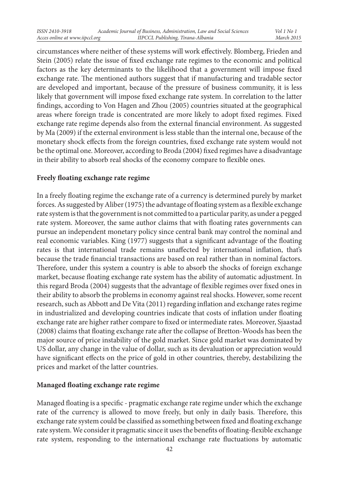circumstances where neither of these systems will work effectively. Blomberg, Frieden and Stein (2005) relate the issue of fixed exchange rate regimes to the economic and political factors as the key determinants to the likelihood that a government will impose fixed exchange rate. The mentioned authors suggest that if manufacturing and tradable sector are developed and important, because of the pressure of business community, it is less likely that government will impose fixed exchange rate system. In correlation to the latter findings, according to Von Hagen and Zhou (2005) countries situated at the geographical areas where foreign trade is concentrated are more likely to adopt fixed regimes. Fixed exchange rate regime depends also from the external financial environment. As suggested by Ma (2009) if the external environment is less stable than the internal one, because of the monetary shock effects from the foreign countries, fixed exchange rate system would not be the optimal one. Moreover, according to Broda (2004) fixed regimes have a disadvantage in their ability to absorb real shocks of the economy compare to flexible ones.

#### **Freely floating exchange rate regime**

In a freely floating regime the exchange rate of a currency is determined purely by market forces. As suggested by Aliber (1975) the advantage of floating system as a flexible exchange rate system is that the government is not committed to a particular parity, as under a pegged rate system. Moreover, the same author claims that with floating rates governments can pursue an independent monetary policy since central bank may control the nominal and real economic variables. King (1977) suggests that a significant advantage of the floating rates is that international trade remains unaffected by international inflation, that's because the trade financial transactions are based on real rather than in nominal factors. Therefore, under this system a country is able to absorb the shocks of foreign exchange market, because floating exchange rate system has the ability of automatic adjustment. In this regard Broda (2004) suggests that the advantage of flexible regimes over fixed ones in their ability to absorb the problems in economy against real shocks. However, some recent research, such as Abbott and De Vita (2011) regarding inflation and exchange rates regime in industrialized and developing countries indicate that costs of inflation under floating exchange rate are higher rather compare to fixed or intermediate rates. Moreover, Sjaastad (2008) claims that floating exchange rate after the collapse of Bretton-Woods has been the major source of price instability of the gold market. Since gold market was dominated by US dollar, any change in the value of dollar, such as its devaluation or appreciation would have significant effects on the price of gold in other countries, thereby, destabilizing the prices and market of the latter countries.

# **Managed floating exchange rate regime**

Managed floating is a specific - pragmatic exchange rate regime under which the exchange rate of the currency is allowed to move freely, but only in daily basis. Therefore, this exchange rate system could be classified as something between fixed and floating exchange rate system. We consider it pragmatic since it uses the benefits of floating-flexible exchange rate system, responding to the international exchange rate fluctuations by automatic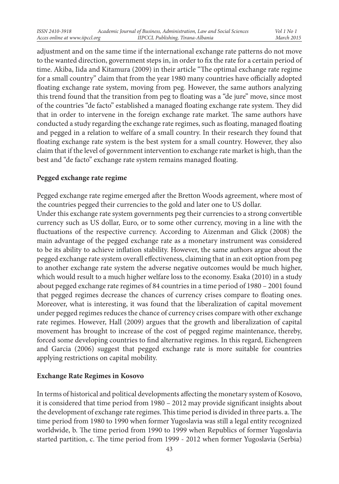adjustment and on the same time if the international exchange rate patterns do not move to the wanted direction, government steps in, in order to fix the rate for a certain period of time. Akiba, Iida and Kitamura (2009) in their article "The optimal exchange rate regime for a small country" claim that from the year 1980 many countries have officially adopted floating exchange rate system, moving from peg. However, the same authors analyzing this trend found that the transition from peg to floating was a "de jure" move, since most of the countries "de facto" established a managed floating exchange rate system. They did that in order to intervene in the foreign exchange rate market. The same authors have conducted a study regarding the exchange rate regimes, such as floating, managed floating and pegged in a relation to welfare of a small country. In their research they found that floating exchange rate system is the best system for a small country. However, they also claim that if the level of government intervention to exchange rate market is high, than the best and "de facto" exchange rate system remains managed floating.

#### **Pegged exchange rate regime**

Pegged exchange rate regime emerged after the Bretton Woods agreement, where most of the countries pegged their currencies to the gold and later one to US dollar.

Under this exchange rate system governments peg their currencies to a strong convertible currency such as US dollar, Euro, or to some other currency, moving in a line with the fluctuations of the respective currency. According to Aizenman and Glick (2008) the main advantage of the pegged exchange rate as a monetary instrument was considered to be its ability to achieve inflation stability. However, the same authors argue about the pegged exchange rate system overall effectiveness, claiming that in an exit option from peg to another exchange rate system the adverse negative outcomes would be much higher, which would result to a much higher welfare loss to the economy. Esaka (2010) in a study about pegged exchange rate regimes of 84 countries in a time period of 1980 – 2001 found that pegged regimes decrease the chances of currency crises compare to floating ones. Moreover, what is interesting, it was found that the liberalization of capital movement under pegged regimes reduces the chance of currency crises compare with other exchange rate regimes. However, Hall (2009) argues that the growth and liberalization of capital movement has brought to increase of the cost of pegged regime maintenance, thereby, forced some developing countries to find alternative regimes. In this regard, Eichengreen and Garcia (2006) suggest that pegged exchange rate is more suitable for countries applying restrictions on capital mobility.

#### **Exchange Rate Regimes in Kosovo**

In terms of historical and political developments affecting the monetary system of Kosovo, it is considered that time period from 1980 – 2012 may provide significant insights about the development of exchange rate regimes. This time period is divided in three parts. a. The time period from 1980 to 1990 when former Yugoslavia was still a legal entity recognized worldwide, b. The time period from 1990 to 1999 when Republics of former Yugoslavia started partition, c. The time period from 1999 - 2012 when former Yugoslavia (Serbia)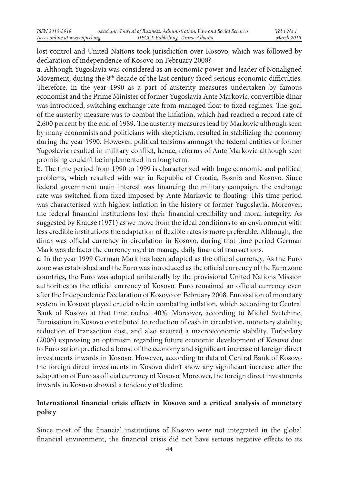lost control and United Nations took jurisdiction over Kosovo, which was followed by declaration of independence of Kosovo on February 2008?

a. Although Yugoslavia was considered as an economic power and leader of Nonaligned Movement, during the  $8<sup>th</sup>$  decade of the last century faced serious economic difficulties. Therefore, in the year 1990 as a part of austerity measures undertaken by famous economist and the Prime Minister of former Yugoslavia Ante Markovic, convertible dinar was introduced, switching exchange rate from managed float to fixed regimes. The goal of the austerity measure was to combat the inflation, which had reached a record rate of 2,600 percent by the end of 1989. The austerity measures lead by Markovic although seen by many economists and politicians with skepticism, resulted in stabilizing the economy during the year 1990. However, political tensions amongst the federal entities of former Yugoslavia resulted in military conflict, hence, reforms of Ante Markovic although seen promising couldn't be implemented in a long term.

b. The time period from 1990 to 1999 is characterized with huge economic and political problems, which resulted with war in Republic of Croatia, Bosnia and Kosovo. Since federal government main interest was financing the military campaign, the exchange rate was switched from fixed imposed by Ante Markovic to floating. This time period was characterized with highest inflation in the history of former Yugoslavia. Moreover, the federal financial institutions lost their financial credibility and moral integrity. As suggested by Krause (1971) as we move from the ideal conditions to an environment with less credible institutions the adaptation of flexible rates is more preferable. Although, the dinar was official currency in circulation in Kosovo, during that time period German Mark was de facto the currency used to manage daily financial transactions.

c. In the year 1999 German Mark has been adopted as the official currency. As the Euro zone was established and the Euro was introduced as the official currency of the Euro zone countries, the Euro was adopted unilaterally by the provisional United Nations Mission authorities as the official currency of Kosovo. Euro remained an official currency even after the Independence Declaration of Kosovo on February 2008. Euroisation of monetary system in Kosovo played crucial role in combating inflation, which according to Central Bank of Kosovo at that time rached 40%. Moreover, according to Michel Svetchine, Euroisation in Kosovo contributed to reduction of cash in circulation, monetary stability, reduction of transaction cost, and also secured a macroeconomic stability. Turbedary (2006) expressing an optimism regarding future economic development of Kosovo due to Euroisation predicted a boost of the economy and significant increase of foreign direct investments inwards in Kosovo. However, according to data of Central Bank of Kosovo the foreign direct investments in Kosovo didn't show any significant increase after the adaptation of Euro as official currency of Kosovo. Moreover, the foreign direct investments inwards in Kosovo showed a tendency of decline.

# **International financial crisis effects in Kosovo and a critical analysis of monetary policy**

Since most of the financial institutions of Kosovo were not integrated in the global financial environment, the financial crisis did not have serious negative effects to its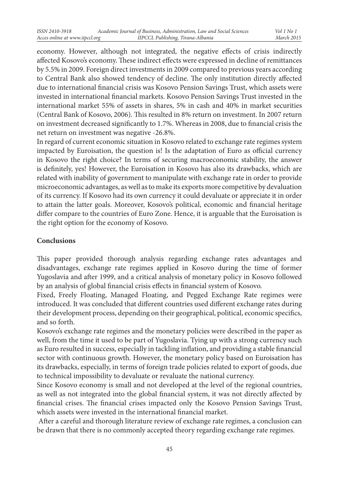economy. However, although not integrated, the negative effects of crisis indirectly affected Kosovo's economy. These indirect effects were expressed in decline of remittances by 5.5% in 2009. Foreign direct investments in 2009 compared to previous years according to Central Bank also showed tendency of decline. The only institution directly affected due to international financial crisis was Kosovo Pension Savings Trust, which assets were invested in international financial markets. Kosovo Pension Savings Trust invested in the international market 55% of assets in shares, 5% in cash and 40% in market securities (Central Bank of Kosovo, 2006). This resulted in 8% return on investment. In 2007 return on investment decreased significantly to 1.7%. Whereas in 2008, due to financial crisis the net return on investment was negative -26.8%.

In regard of current economic situation in Kosovo related to exchange rate regimes system impacted by Euroisation, the question is! Is the adaptation of Euro as official currency in Kosovo the right choice? In terms of securing macroeconomic stability, the answer is definitely, yes! However, the Euroisation in Kosovo has also its drawbacks, which are related with inability of government to manipulate with exchange rate in order to provide microeconomic advantages, as well as to make its exports more competitive by devaluation of its currency. If Kosovo had its own currency it could devaluate or appreciate it in order to attain the latter goals. Moreover, Kosovo's political, economic and financial heritage differ compare to the countries of Euro Zone. Hence, it is arguable that the Euroisation is the right option for the economy of Kosovo.

#### **Conclusions**

This paper provided thorough analysis regarding exchange rates advantages and disadvantages, exchange rate regimes applied in Kosovo during the time of former Yugoslavia and after 1999, and a critical analysis of monetary policy in Kosovo followed by an analysis of global financial crisis effects in financial system of Kosovo.

Fixed, Freely Floating, Managed Floating, and Pegged Exchange Rate regimes were introduced. It was concluded that different countries used different exchange rates during their development process, depending on their geographical, political, economic specifics, and so forth.

Kosovo's exchange rate regimes and the monetary policies were described in the paper as well, from the time it used to be part of Yugoslavia. Tying up with a strong currency such as Euro resulted in success, especially in tackling inflation, and providing a stable financial sector with continuous growth. However, the monetary policy based on Euroisation has its drawbacks, especially, in terms of foreign trade policies related to export of goods, due to technical impossibility to devaluate or revaluate the national currency.

Since Kosovo economy is small and not developed at the level of the regional countries, as well as not integrated into the global financial system, it was not directly affected by financial crises. The financial crises impacted only the Kosovo Pension Savings Trust, which assets were invested in the international financial market.

 After a careful and thorough literature review of exchange rate regimes, a conclusion can be drawn that there is no commonly accepted theory regarding exchange rate regimes.